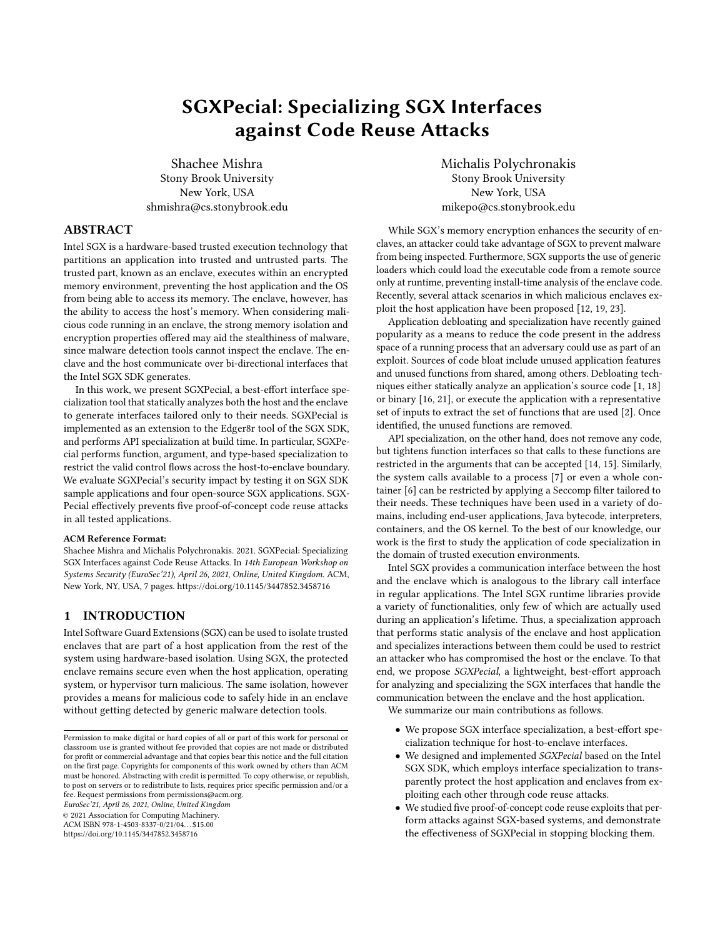# SGXPecial: Specializing SGX Interfaces against Code Reuse Attacks

Shachee Mishra Stony Brook University New York, USA shmishra@cs.stonybrook.edu

## ABSTRACT

Intel SGX is a hardware-based trusted execution technology that partitions an application into trusted and untrusted parts. The trusted part, known as an enclave, executes within an encrypted memory environment, preventing the host application and the OS from being able to access its memory. The enclave, however, has the ability to access the host's memory. When considering malicious code running in an enclave, the strong memory isolation and encryption properties offered may aid the stealthiness of malware, since malware detection tools cannot inspect the enclave. The enclave and the host communicate over bi-directional interfaces that the Intel SGX SDK generates.

In this work, we present SGXPecial, a best-effort interface specialization tool that statically analyzes both the host and the enclave to generate interfaces tailored only to their needs. SGXPecial is implemented as an extension to the Edger8r tool of the SGX SDK, and performs API specialization at build time. In particular, SGXPecial performs function, argument, and type-based specialization to restrict the valid control flows across the host-to-enclave boundary. We evaluate SGXPecial's security impact by testing it on SGX SDK sample applications and four open-source SGX applications. SGX-Pecial effectively prevents five proof-of-concept code reuse attacks in all tested applications.

#### ACM Reference Format:

Shachee Mishra and Michalis Polychronakis. 2021. SGXPecial: Specializing SGX Interfaces against Code Reuse Attacks. In 14th European Workshop on Systems Security (EuroSec'21), April 26, 2021, Online, United Kingdom. ACM, New York, NY, USA, [7](#page-6-0) pages.<https://doi.org/10.1145/3447852.3458716>

## 1 INTRODUCTION

Intel Software Guard Extensions (SGX) can be used to isolate trusted enclaves that are part of a host application from the rest of the system using hardware-based isolation. Using SGX, the protected enclave remains secure even when the host application, operating system, or hypervisor turn malicious. The same isolation, however provides a means for malicious code to safely hide in an enclave without getting detected by generic malware detection tools.

EuroSec'21, April 26, 2021, Online, United Kingdom

© 2021 Association for Computing Machinery.

ACM ISBN 978-1-4503-8337-0/21/04. . . \$15.00

<https://doi.org/10.1145/3447852.3458716>

Michalis Polychronakis Stony Brook University New York, USA mikepo@cs.stonybrook.edu

While SGX's memory encryption enhances the security of enclaves, an attacker could take advantage of SGX to prevent malware from being inspected. Furthermore, SGX supports the use of generic loaders which could load the executable code from a remote source only at runtime, preventing install-time analysis of the enclave code. Recently, several attack scenarios in which malicious enclaves exploit the host application have been proposed [\[12,](#page-6-1) [19,](#page-6-2) [23\]](#page-6-3).

Application debloating and specialization have recently gained popularity as a means to reduce the code present in the address space of a running process that an adversary could use as part of an exploit. Sources of code bloat include unused application features and unused functions from shared, among others. Debloating techniques either statically analyze an application's source code [\[1,](#page-6-4) [18\]](#page-6-5) or binary [\[16,](#page-6-6) [21\]](#page-6-7), or execute the application with a representative set of inputs to extract the set of functions that are used [\[2\]](#page-6-8). Once identified, the unused functions are removed.

API specialization, on the other hand, does not remove any code, but tightens function interfaces so that calls to these functions are restricted in the arguments that can be accepted [\[14,](#page-6-9) [15\]](#page-6-10). Similarly, the system calls available to a process [\[7\]](#page-6-11) or even a whole container [\[6\]](#page-6-12) can be restricted by applying a Seccomp filter tailored to their needs. These techniques have been used in a variety of domains, including end-user applications, Java bytecode, interpreters, containers, and the OS kernel. To the best of our knowledge, our work is the first to study the application of code specialization in the domain of trusted execution environments.

Intel SGX provides a communication interface between the host and the enclave which is analogous to the library call interface in regular applications. The Intel SGX runtime libraries provide a variety of functionalities, only few of which are actually used during an application's lifetime. Thus, a specialization approach that performs static analysis of the enclave and host application and specializes interactions between them could be used to restrict an attacker who has compromised the host or the enclave. To that end, we propose SGXPecial, a lightweight, best-effort approach for analyzing and specializing the SGX interfaces that handle the communication between the enclave and the host application.

We summarize our main contributions as follows.

- We propose SGX interface specialization, a best-effort specialization technique for host-to-enclave interfaces.
- We designed and implemented SGXPecial based on the Intel SGX SDK, which employs interface specialization to transparently protect the host application and enclaves from exploiting each other through code reuse attacks.
- We studied five proof-of-concept code reuse exploits that perform attacks against SGX-based systems, and demonstrate the effectiveness of SGXPecial in stopping blocking them.

Permission to make digital or hard copies of all or part of this work for personal or classroom use is granted without fee provided that copies are not made or distributed for profit or commercial advantage and that copies bear this notice and the full citation on the first page. Copyrights for components of this work owned by others than ACM must be honored. Abstracting with credit is permitted. To copy otherwise, or republish, to post on servers or to redistribute to lists, requires prior specific permission and/or a fee. Request permissions from permissions@acm.org.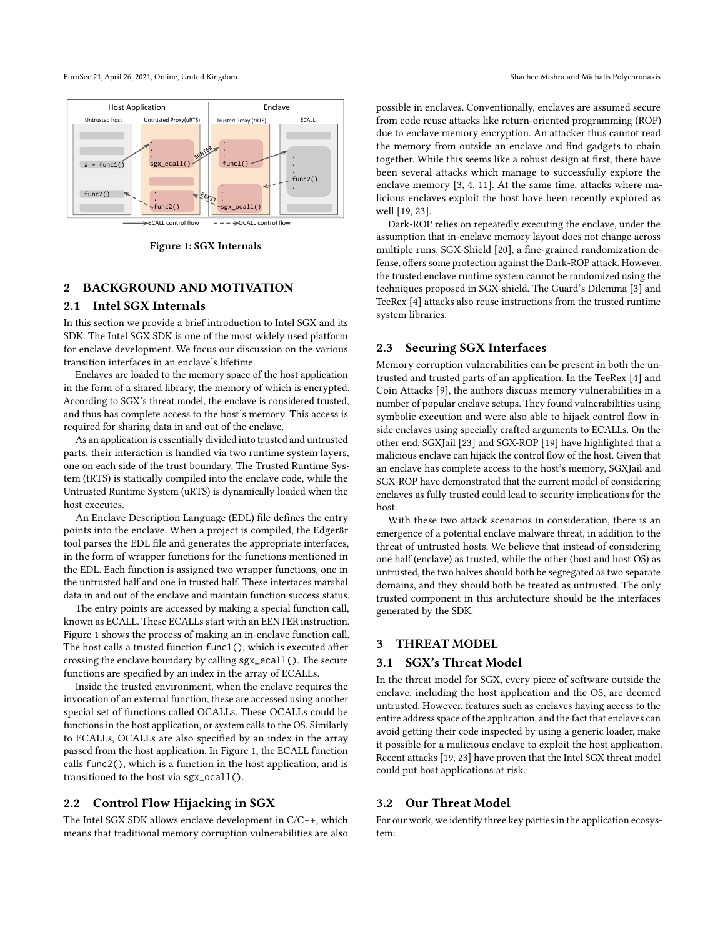<span id="page-1-0"></span>

Figure 1: SGX Internals

## 2 BACKGROUND AND MOTIVATION

## 2.1 Intel SGX Internals

In this section we provide a brief introduction to Intel SGX and its SDK. The Intel SGX SDK is one of the most widely used platform for enclave development. We focus our discussion on the various transition interfaces in an enclave's lifetime.

Enclaves are loaded to the memory space of the host application in the form of a shared library, the memory of which is encrypted. According to SGX's threat model, the enclave is considered trusted, and thus has complete access to the host's memory. This access is required for sharing data in and out of the enclave.

As an application is essentially divided into trusted and untrusted parts, their interaction is handled via two runtime system layers, one on each side of the trust boundary. The Trusted Runtime System (tRTS) is statically compiled into the enclave code, while the Untrusted Runtime System (uRTS) is dynamically loaded when the host executes.

An Enclave Description Language (EDL) file defines the entry points into the enclave. When a project is compiled, the Edger8r tool parses the EDL file and generates the appropriate interfaces, in the form of wrapper functions for the functions mentioned in the EDL. Each function is assigned two wrapper functions, one in the untrusted half and one in trusted half. These interfaces marshal data in and out of the enclave and maintain function success status.

The entry points are accessed by making a special function call, known as ECALL. These ECALLs start with an EENTER instruction. Figure [1](#page-1-0) shows the process of making an in-enclave function call. The host calls a trusted function func1(), which is executed after crossing the enclave boundary by calling sgx\_ecall(). The secure functions are specified by an index in the array of ECALLs.

Inside the trusted environment, when the enclave requires the invocation of an external function, these are accessed using another special set of functions called OCALLs. These OCALLs could be functions in the host application, or system calls to the OS. Similarly to ECALLs, OCALLs are also specified by an index in the array passed from the host application. In Figure [1,](#page-1-0) the ECALL function calls func2(), which is a function in the host application, and is transitioned to the host via sgx\_ocall().

#### 2.2 Control Flow Hijacking in SGX

The Intel SGX SDK allows enclave development in C/C++, which means that traditional memory corruption vulnerabilities are also possible in enclaves. Conventionally, enclaves are assumed secure from code reuse attacks like return-oriented programming (ROP) due to enclave memory encryption. An attacker thus cannot read the memory from outside an enclave and find gadgets to chain together. While this seems like a robust design at first, there have been several attacks which manage to successfully explore the enclave memory [\[3,](#page-6-13) [4,](#page-6-14) [11\]](#page-6-15). At the same time, attacks where malicious enclaves exploit the host have been recently explored as well [\[19,](#page-6-2) [23\]](#page-6-3).

Dark-ROP relies on repeatedly executing the enclave, under the assumption that in-enclave memory layout does not change across multiple runs. SGX-Shield [\[20\]](#page-6-16), a fine-grained randomization defense, offers some protection against the Dark-ROP attack. However, the trusted enclave runtime system cannot be randomized using the techniques proposed in SGX-shield. The Guard's Dilemma [\[3\]](#page-6-13) and TeeRex [\[4\]](#page-6-14) attacks also reuse instructions from the trusted runtime system libraries.

### 2.3 Securing SGX Interfaces

Memory corruption vulnerabilities can be present in both the untrusted and trusted parts of an application. In the TeeRex [\[4\]](#page-6-14) and Coin Attacks [\[9\]](#page-6-17), the authors discuss memory vulnerabilities in a number of popular enclave setups. They found vulnerabilities using symbolic execution and were also able to hijack control flow inside enclaves using specially crafted arguments to ECALLs. On the other end, SGXJail [\[23\]](#page-6-3) and SGX-ROP [\[19\]](#page-6-2) have highlighted that a malicious enclave can hijack the control flow of the host. Given that an enclave has complete access to the host's memory, SGXJail and SGX-ROP have demonstrated that the current model of considering enclaves as fully trusted could lead to security implications for the host.

With these two attack scenarios in consideration, there is an emergence of a potential enclave malware threat, in addition to the threat of untrusted hosts. We believe that instead of considering one half (enclave) as trusted, while the other (host and host OS) as untrusted, the two halves should both be segregated as two separate domains, and they should both be treated as untrusted. The only trusted component in this architecture should be the interfaces generated by the SDK.

## 3 THREAT MODEL

## 3.1 SGX's Threat Model

In the threat model for SGX, every piece of software outside the enclave, including the host application and the OS, are deemed untrusted. However, features such as enclaves having access to the entire address space of the application, and the fact that enclaves can avoid getting their code inspected by using a generic loader, make it possible for a malicious enclave to exploit the host application. Recent attacks [\[19,](#page-6-2) [23\]](#page-6-3) have proven that the Intel SGX threat model could put host applications at risk.

## 3.2 Our Threat Model

For our work, we identify three key parties in the application ecosystem: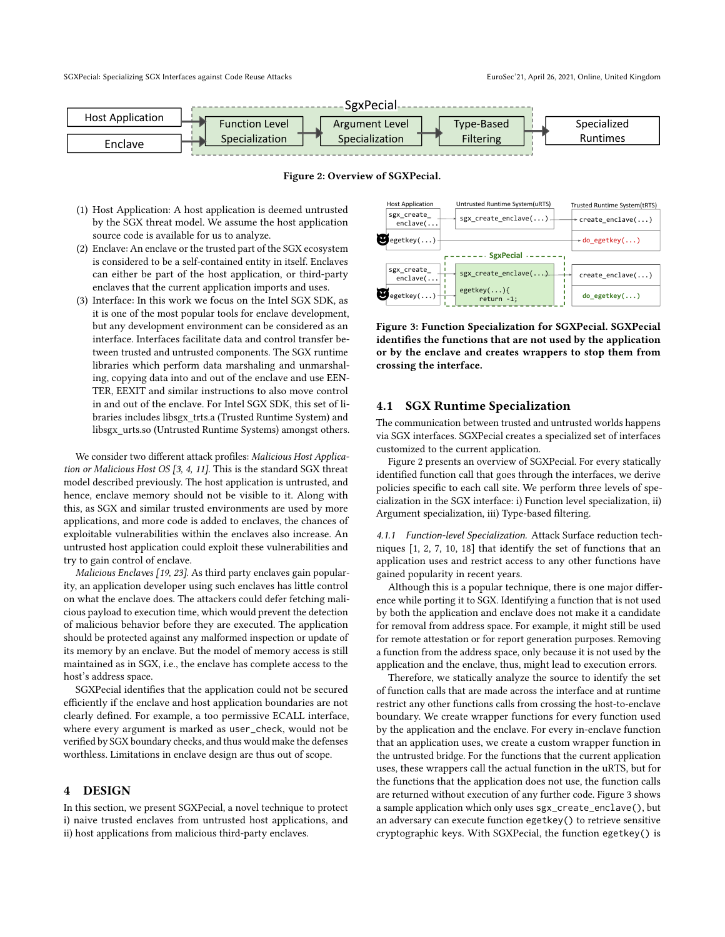<span id="page-2-0"></span>

Figure 2: Overview of SGXPecial.

- (1) Host Application: A host application is deemed untrusted by the SGX threat model. We assume the host application source code is available for us to analyze.
- (2) Enclave: An enclave or the trusted part of the SGX ecosystem is considered to be a self-contained entity in itself. Enclaves can either be part of the host application, or third-party enclaves that the current application imports and uses.
- (3) Interface: In this work we focus on the Intel SGX SDK, as it is one of the most popular tools for enclave development, but any development environment can be considered as an interface. Interfaces facilitate data and control transfer between trusted and untrusted components. The SGX runtime libraries which perform data marshaling and unmarshaling, copying data into and out of the enclave and use EEN-TER, EEXIT and similar instructions to also move control in and out of the enclave. For Intel SGX SDK, this set of libraries includes libsgx\_trts.a (Trusted Runtime System) and libsgx\_urts.so (Untrusted Runtime Systems) amongst others.

We consider two different attack profiles: Malicious Host Application or Malicious Host OS [\[3,](#page-6-13) [4,](#page-6-14) [11\]](#page-6-15). This is the standard SGX threat model described previously. The host application is untrusted, and hence, enclave memory should not be visible to it. Along with this, as SGX and similar trusted environments are used by more applications, and more code is added to enclaves, the chances of exploitable vulnerabilities within the enclaves also increase. An untrusted host application could exploit these vulnerabilities and try to gain control of enclave.

Malicious Enclaves [\[19,](#page-6-2) [23\]](#page-6-3). As third party enclaves gain popularity, an application developer using such enclaves has little control on what the enclave does. The attackers could defer fetching malicious payload to execution time, which would prevent the detection of malicious behavior before they are executed. The application should be protected against any malformed inspection or update of its memory by an enclave. But the model of memory access is still maintained as in SGX, i.e., the enclave has complete access to the host's address space.

SGXPecial identifies that the application could not be secured efficiently if the enclave and host application boundaries are not clearly defined. For example, a too permissive ECALL interface, where every argument is marked as user\_check, would not be verified by SGX boundary checks, and thus would make the defenses worthless. Limitations in enclave design are thus out of scope.

### 4 DESIGN

In this section, we present SGXPecial, a novel technique to protect i) naive trusted enclaves from untrusted host applications, and ii) host applications from malicious third-party enclaves.

<span id="page-2-1"></span>

Figure 3: Function Specialization for SGXPecial. SGXPecial identifies the functions that are not used by the application or by the enclave and creates wrappers to stop them from crossing the interface.

#### 4.1 SGX Runtime Specialization

The communication between trusted and untrusted worlds happens via SGX interfaces. SGXPecial creates a specialized set of interfaces customized to the current application.

Figure [2](#page-2-0) presents an overview of SGXPecial. For every statically identified function call that goes through the interfaces, we derive policies specific to each call site. We perform three levels of specialization in the SGX interface: i) Function level specialization, ii) Argument specialization, iii) Type-based filtering.

4.1.1 Function-level Specialization. Attack Surface reduction techniques [\[1,](#page-6-4) [2,](#page-6-8) [7,](#page-6-11) [10,](#page-6-18) [18\]](#page-6-5) that identify the set of functions that an application uses and restrict access to any other functions have gained popularity in recent years.

Although this is a popular technique, there is one major difference while porting it to SGX. Identifying a function that is not used by both the application and enclave does not make it a candidate for removal from address space. For example, it might still be used for remote attestation or for report generation purposes. Removing a function from the address space, only because it is not used by the application and the enclave, thus, might lead to execution errors.

Therefore, we statically analyze the source to identify the set of function calls that are made across the interface and at runtime restrict any other functions calls from crossing the host-to-enclave boundary. We create wrapper functions for every function used by the application and the enclave. For every in-enclave function that an application uses, we create a custom wrapper function in the untrusted bridge. For the functions that the current application uses, these wrappers call the actual function in the uRTS, but for the functions that the application does not use, the function calls are returned without execution of any further code. Figure [3](#page-2-1) shows a sample application which only uses sgx\_create\_enclave(), but an adversary can execute function egetkey() to retrieve sensitive cryptographic keys. With SGXPecial, the function egetkey() is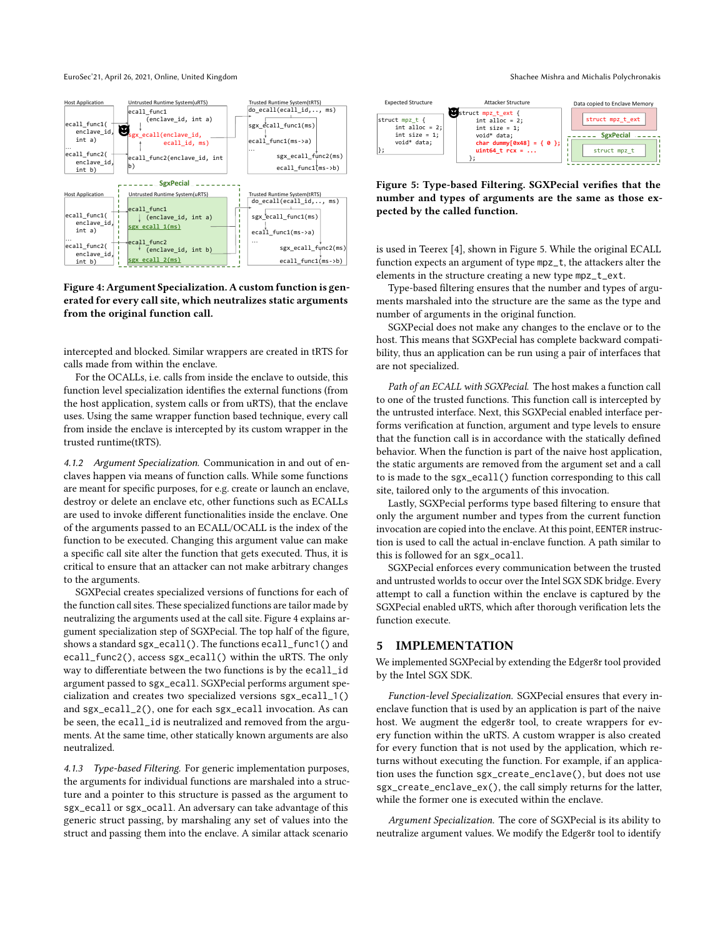<span id="page-3-0"></span>

#### Figure 4: Argument Specialization. A custom function is generated for every call site, which neutralizes static arguments from the original function call.

intercepted and blocked. Similar wrappers are created in tRTS for calls made from within the enclave.

For the OCALLs, i.e. calls from inside the enclave to outside, this function level specialization identifies the external functions (from the host application, system calls or from uRTS), that the enclave uses. Using the same wrapper function based technique, every call from inside the enclave is intercepted by its custom wrapper in the trusted runtime(tRTS).

4.1.2 Argument Specialization. Communication in and out of enclaves happen via means of function calls. While some functions are meant for specific purposes, for e.g. create or launch an enclave, destroy or delete an enclave etc, other functions such as ECALLs are used to invoke different functionalities inside the enclave. One of the arguments passed to an ECALL/OCALL is the index of the function to be executed. Changing this argument value can make a specific call site alter the function that gets executed. Thus, it is critical to ensure that an attacker can not make arbitrary changes to the arguments.

SGXPecial creates specialized versions of functions for each of the function call sites. These specialized functions are tailor made by neutralizing the arguments used at the call site. Figure [4](#page-3-0) explains argument specialization step of SGXPecial. The top half of the figure, shows a standard sgx\_ecall(). The functions ecall\_func1() and ecall\_func2(), access sgx\_ecall() within the uRTS. The only way to differentiate between the two functions is by the ecall\_id argument passed to sgx\_ecall. SGXPecial performs argument specialization and creates two specialized versions sgx\_ecall\_1() and sgx\_ecall\_2(), one for each sgx\_ecall invocation. As can be seen, the ecall\_id is neutralized and removed from the arguments. At the same time, other statically known arguments are also neutralized.

4.1.3 Type-based Filtering. For generic implementation purposes, the arguments for individual functions are marshaled into a structure and a pointer to this structure is passed as the argument to sgx\_ecall or sgx\_ocall. An adversary can take advantage of this generic struct passing, by marshaling any set of values into the struct and passing them into the enclave. A similar attack scenario

<span id="page-3-1"></span>

Figure 5: Type-based Filtering. SGXPecial verifies that the number and types of arguments are the same as those expected by the called function.

is used in Teerex [\[4\]](#page-6-14), shown in Figure [5.](#page-3-1) While the original ECALL function expects an argument of type mpz\_t, the attackers alter the elements in the structure creating a new type mpz\_t\_ext.

Type-based filtering ensures that the number and types of arguments marshaled into the structure are the same as the type and number of arguments in the original function.

SGXPecial does not make any changes to the enclave or to the host. This means that SGXPecial has complete backward compatibility, thus an application can be run using a pair of interfaces that are not specialized.

Path of an ECALL with SGXPecial. The host makes a function call to one of the trusted functions. This function call is intercepted by the untrusted interface. Next, this SGXPecial enabled interface performs verification at function, argument and type levels to ensure that the function call is in accordance with the statically defined behavior. When the function is part of the naive host application, the static arguments are removed from the argument set and a call to is made to the sgx\_ecall() function corresponding to this call site, tailored only to the arguments of this invocation.

Lastly, SGXPecial performs type based filtering to ensure that only the argument number and types from the current function invocation are copied into the enclave. At this point, EENTER instruction is used to call the actual in-enclave function. A path similar to this is followed for an sgx\_ocall.

SGXPecial enforces every communication between the trusted and untrusted worlds to occur over the Intel SGX SDK bridge. Every attempt to call a function within the enclave is captured by the SGXPecial enabled uRTS, which after thorough verification lets the function execute.

#### 5 IMPLEMENTATION

We implemented SGXPecial by extending the Edger8r tool provided by the Intel SGX SDK.

Function-level Specialization. SGXPecial ensures that every inenclave function that is used by an application is part of the naive host. We augment the edger8r tool, to create wrappers for every function within the uRTS. A custom wrapper is also created for every function that is not used by the application, which returns without executing the function. For example, if an application uses the function sgx\_create\_enclave(), but does not use sgx\_create\_enclave\_ex(), the call simply returns for the latter, while the former one is executed within the enclave.

Argument Specialization. The core of SGXPecial is its ability to neutralize argument values. We modify the Edger8r tool to identify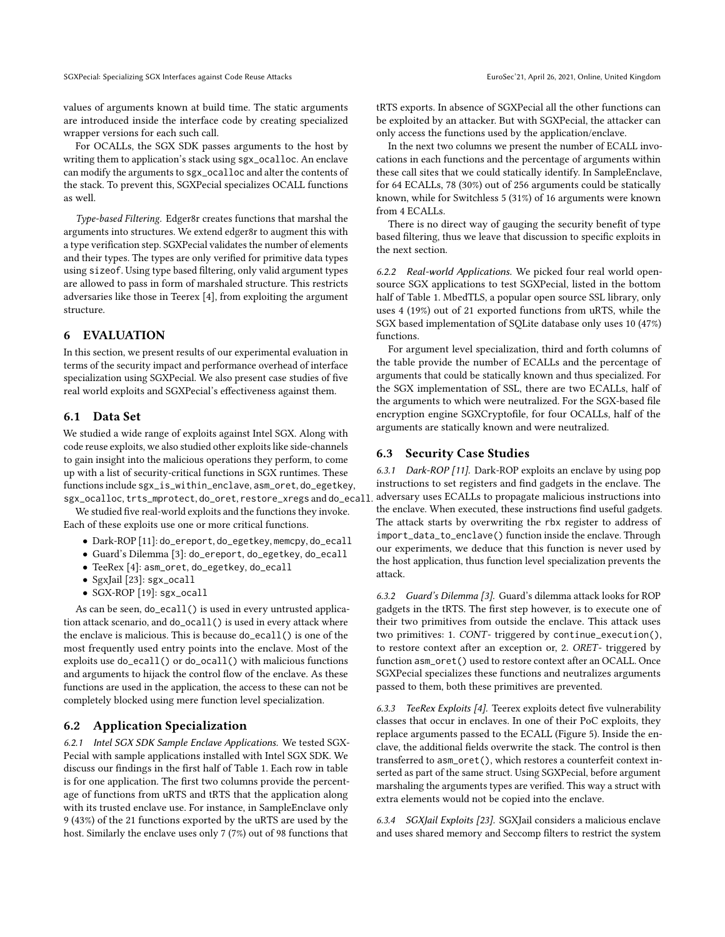SGXPecial: Specializing SGX Interfaces against Code Reuse Attacks EuroSec'21, April 26, 2021, Online, United Kingdom

values of arguments known at build time. The static arguments are introduced inside the interface code by creating specialized wrapper versions for each such call.

For OCALLs, the SGX SDK passes arguments to the host by writing them to application's stack using sgx\_ocalloc. An enclave can modify the arguments to sgx\_ocalloc and alter the contents of the stack. To prevent this, SGXPecial specializes OCALL functions as well.

Type-based Filtering. Edger8r creates functions that marshal the arguments into structures. We extend edger8r to augment this with a type verification step. SGXPecial validates the number of elements and their types. The types are only verified for primitive data types using sizeof. Using type based filtering, only valid argument types are allowed to pass in form of marshaled structure. This restricts adversaries like those in Teerex [\[4\]](#page-6-14), from exploiting the argument structure.

## 6 EVALUATION

In this section, we present results of our experimental evaluation in terms of the security impact and performance overhead of interface specialization using SGXPecial. We also present case studies of five real world exploits and SGXPecial's effectiveness against them.

## 6.1 Data Set

We studied a wide range of exploits against Intel SGX. Along with code reuse exploits, we also studied other exploits like side-channels to gain insight into the malicious operations they perform, to come up with a list of security-critical functions in SGX runtimes. These functions include sgx\_is\_within\_enclave, asm\_oret, do\_egetkey, sgx\_ocalloc, trts\_mprotect, do\_oret, restore\_xregs and do\_ecall.

We studied five real-world exploits and the functions they invoke. Each of these exploits use one or more critical functions.

- Dark-ROP [\[11\]](#page-6-15): do\_ereport, do\_egetkey, memcpy, do\_ecall
- Guard's Dilemma [\[3\]](#page-6-13): do\_ereport, do\_egetkey, do\_ecall
- TeeRex [\[4\]](#page-6-14): asm\_oret, do\_egetkey, do\_ecall
- SgxJail [\[23\]](#page-6-3): sgx\_ocall
- SGX-ROP [\[19\]](#page-6-2): sgx\_ocall

As can be seen, do\_ecall() is used in every untrusted application attack scenario, and do\_ocall() is used in every attack where the enclave is malicious. This is because do\_ecall() is one of the most frequently used entry points into the enclave. Most of the exploits use do\_ecall() or do\_ocall() with malicious functions and arguments to hijack the control flow of the enclave. As these functions are used in the application, the access to these can not be completely blocked using mere function level specialization.

#### 6.2 Application Specialization

6.2.1 Intel SGX SDK Sample Enclave Applications. We tested SGX-Pecial with sample applications installed with Intel SGX SDK. We discuss our findings in the first half of Table [1.](#page-5-0) Each row in table is for one application. The first two columns provide the percentage of functions from uRTS and tRTS that the application along with its trusted enclave use. For instance, in SampleEnclave only 9 (43%) of the 21 functions exported by the uRTS are used by the host. Similarly the enclave uses only 7 (7%) out of 98 functions that

tRTS exports. In absence of SGXPecial all the other functions can be exploited by an attacker. But with SGXPecial, the attacker can only access the functions used by the application/enclave.

In the next two columns we present the number of ECALL invocations in each functions and the percentage of arguments within these call sites that we could statically identify. In SampleEnclave, for 64 ECALLs, 78 (30%) out of 256 arguments could be statically known, while for Switchless 5 (31%) of 16 arguments were known from 4 ECALLs.

There is no direct way of gauging the security benefit of type based filtering, thus we leave that discussion to specific exploits in the next section.

6.2.2 Real-world Applications. We picked four real world opensource SGX applications to test SGXPecial, listed in the bottom half of Table [1.](#page-5-0) MbedTLS, a popular open source SSL library, only uses 4 (19%) out of 21 exported functions from uRTS, while the SGX based implementation of SQLite database only uses 10 (47%) functions.

For argument level specialization, third and forth columns of the table provide the number of ECALLs and the percentage of arguments that could be statically known and thus specialized. For the SGX implementation of SSL, there are two ECALLs, half of the arguments to which were neutralized. For the SGX-based file encryption engine SGXCryptofile, for four OCALLs, half of the arguments are statically known and were neutralized.

#### 6.3 Security Case Studies

6.3.1 Dark-ROP [\[11\]](#page-6-15). Dark-ROP exploits an enclave by using pop instructions to set registers and find gadgets in the enclave. The adversary uses ECALLs to propagate malicious instructions into the enclave. When executed, these instructions find useful gadgets. The attack starts by overwriting the rbx register to address of import\_data\_to\_enclave() function inside the enclave. Through our experiments, we deduce that this function is never used by the host application, thus function level specialization prevents the attack.

6.3.2 Guard's Dilemma [\[3\]](#page-6-13). Guard's dilemma attack looks for ROP gadgets in the tRTS. The first step however, is to execute one of their two primitives from outside the enclave. This attack uses two primitives: 1. CONT- triggered by continue\_execution(), to restore context after an exception or, 2. ORET- triggered by function asm\_oret() used to restore context after an OCALL. Once SGXPecial specializes these functions and neutralizes arguments passed to them, both these primitives are prevented.

6.3.3 TeeRex Exploits [\[4\]](#page-6-14). Teerex exploits detect five vulnerability classes that occur in enclaves. In one of their PoC exploits, they replace arguments passed to the ECALL (Figure [5\)](#page-3-1). Inside the enclave, the additional fields overwrite the stack. The control is then transferred to asm\_oret(), which restores a counterfeit context inserted as part of the same struct. Using SGXPecial, before argument marshaling the arguments types are verified. This way a struct with extra elements would not be copied into the enclave.

6.3.4 SGXJail Exploits [\[23\]](#page-6-3). SGXJail considers a malicious enclave and uses shared memory and Seccomp filters to restrict the system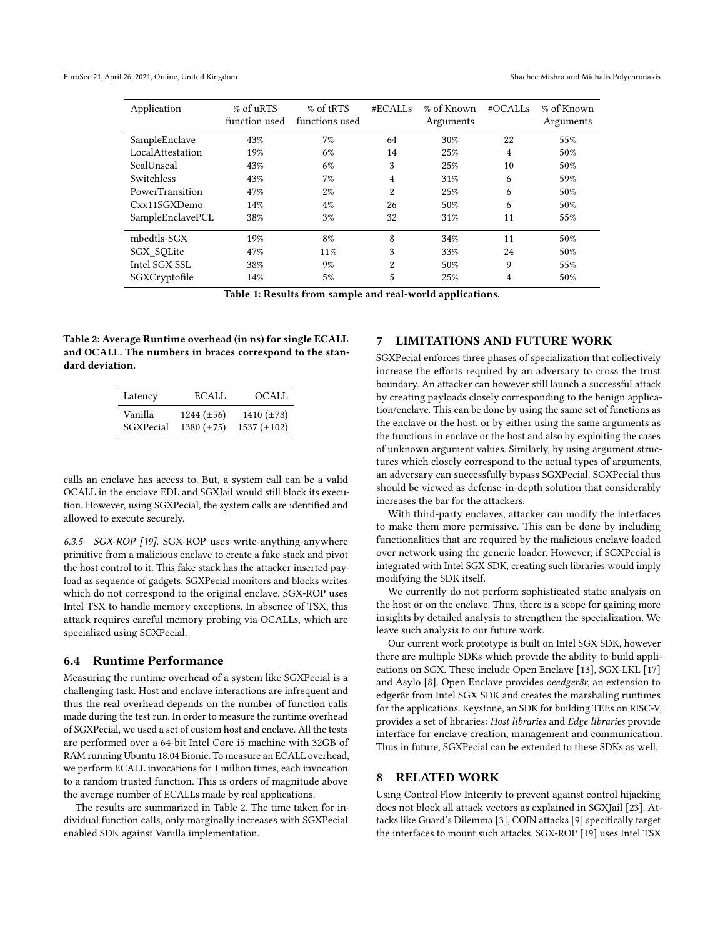<span id="page-5-0"></span>

| Application      | $%$ of uRTS<br>function used | % of tRTS<br>functions used | #ECALLs        | % of Known<br>Arguments | #OCALLs        | % of Known<br>Arguments |
|------------------|------------------------------|-----------------------------|----------------|-------------------------|----------------|-------------------------|
| SampleEnclave    | 43%                          | 7%                          | 64             | 30%                     | 22             | 55%                     |
| LocalAttestation | 19%                          | 6%                          | 14             | 25%                     | $\overline{4}$ | 50%                     |
| SealUnseal       | 43%                          | 6%                          | 3              | 25%                     | 10             | 50%                     |
| Switchless       | 43%                          | 7%                          | 4              | 31%                     | 6              | 59%                     |
| PowerTransition  | 47%                          | $2\%$                       | 2              | 25%                     | 6              | 50%                     |
| Cxx11SGXDemo     | 14%                          | $4\%$                       | 26             | 50%                     | 6              | 50%                     |
| SampleEnclavePCL | 38%                          | $3\%$                       | 32             | 31%                     | 11             | 55%                     |
| mbedtls-SGX      | 19%                          | 8%                          | 8              | 34%                     | 11             | 50%                     |
| SGX SQLite       | 47%                          | 11%                         | 3              | 33%                     | 24             | 50%                     |
| Intel SGX SSL    | 38%                          | 9%                          | $\overline{2}$ | 50%                     | 9              | 55%                     |
| SGXCryptofile    | 14%                          | 5%                          | 5              | 25%                     | 4              | 50%                     |

Table 1: Results from sample and real-world applications.

<span id="page-5-1"></span>Table 2: Average Runtime overhead (in ns) for single ECALL and OCALL. The numbers in braces correspond to the standard deviation.

| Latency   | ECALL.          | OCALL.           |
|-----------|-----------------|------------------|
| Vanilla   | $1244 (\pm 56)$ | 1410 $(\pm 78)$  |
| SGXPecial | 1380 $(\pm 75)$ | 1537 $(\pm 102)$ |

calls an enclave has access to. But, a system call can be a valid OCALL in the enclave EDL and SGXJail would still block its execution. However, using SGXPecial, the system calls are identified and allowed to execute securely.

6.3.5 SGX-ROP [\[19\]](#page-6-2). SGX-ROP uses write-anything-anywhere primitive from a malicious enclave to create a fake stack and pivot the host control to it. This fake stack has the attacker inserted payload as sequence of gadgets. SGXPecial monitors and blocks writes which do not correspond to the original enclave. SGX-ROP uses Intel TSX to handle memory exceptions. In absence of TSX, this attack requires careful memory probing via OCALLs, which are specialized using SGXPecial.

#### 6.4 Runtime Performance

Measuring the runtime overhead of a system like SGXPecial is a challenging task. Host and enclave interactions are infrequent and thus the real overhead depends on the number of function calls made during the test run. In order to measure the runtime overhead of SGXPecial, we used a set of custom host and enclave. All the tests are performed over a 64-bit Intel Core i5 machine with 32GB of RAM running Ubuntu 18.04 Bionic. To measure an ECALL overhead, we perform ECALL invocations for 1 million times, each invocation to a random trusted function. This is orders of magnitude above the average number of ECALLs made by real applications.

The results are summarized in Table [2.](#page-5-1) The time taken for individual function calls, only marginally increases with SGXPecial enabled SDK against Vanilla implementation.

## 7 LIMITATIONS AND FUTURE WORK

SGXPecial enforces three phases of specialization that collectively increase the efforts required by an adversary to cross the trust boundary. An attacker can however still launch a successful attack by creating payloads closely corresponding to the benign application/enclave. This can be done by using the same set of functions as the enclave or the host, or by either using the same arguments as the functions in enclave or the host and also by exploiting the cases of unknown argument values. Similarly, by using argument structures which closely correspond to the actual types of arguments, an adversary can successfully bypass SGXPecial. SGXPecial thus should be viewed as defense-in-depth solution that considerably increases the bar for the attackers.

With third-party enclaves, attacker can modify the interfaces to make them more permissive. This can be done by including functionalities that are required by the malicious enclave loaded over network using the generic loader. However, if SGXPecial is integrated with Intel SGX SDK, creating such libraries would imply modifying the SDK itself.

We currently do not perform sophisticated static analysis on the host or on the enclave. Thus, there is a scope for gaining more insights by detailed analysis to strengthen the specialization. We leave such analysis to our future work.

Our current work prototype is built on Intel SGX SDK, however there are multiple SDKs which provide the ability to build applications on SGX. These include Open Enclave [\[13\]](#page-6-19), SGX-LKL [\[17\]](#page-6-20) and Asylo [\[8\]](#page-6-21). Open Enclave provides oeedger8r, an extension to edger8r from Intel SGX SDK and creates the marshaling runtimes for the applications. Keystone, an SDK for building TEEs on RISC-V, provides a set of libraries: Host libraries and Edge libraries provide interface for enclave creation, management and communication. Thus in future, SGXPecial can be extended to these SDKs as well.

#### 8 RELATED WORK

Using Control Flow Integrity to prevent against control hijacking does not block all attack vectors as explained in SGXJail [\[23\]](#page-6-3). Attacks like Guard's Dilemma [\[3\]](#page-6-13), COIN attacks [\[9\]](#page-6-17) specifically target the interfaces to mount such attacks. SGX-ROP [\[19\]](#page-6-2) uses Intel TSX